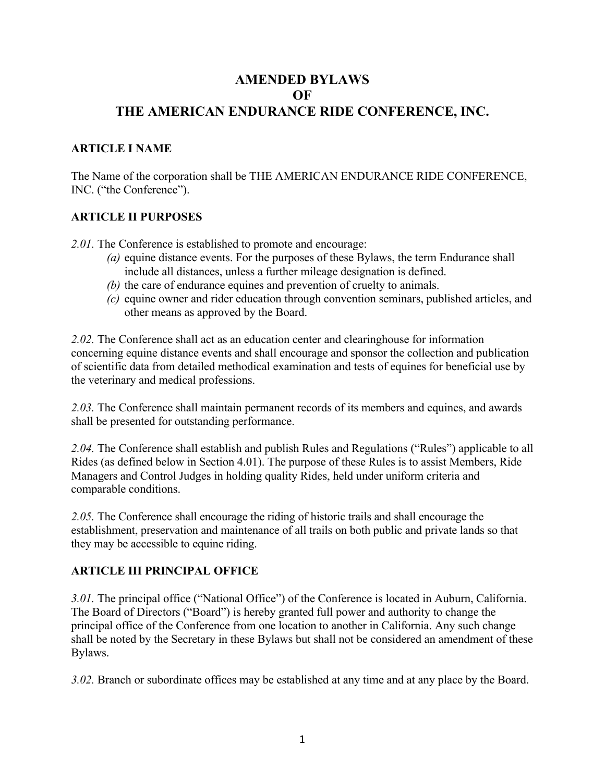# **AMENDED BYLAWS OF THE AMERICAN ENDURANCE RIDE CONFERENCE, INC.**

#### **ARTICLE I NAME**

The Name of the corporation shall be THE AMERICAN ENDURANCE RIDE CONFERENCE, INC. ("the Conference").

#### **ARTICLE II PURPOSES**

*2.01.* The Conference is established to promote and encourage:

- *(a)* equine distance events. For the purposes of these Bylaws, the term Endurance shall include all distances, unless a further mileage designation is defined.
- *(b)* the care of endurance equines and prevention of cruelty to animals.
- *(c)* equine owner and rider education through convention seminars, published articles, and other means as approved by the Board.

*2.02.* The Conference shall act as an education center and clearinghouse for information concerning equine distance events and shall encourage and sponsor the collection and publication of scientific data from detailed methodical examination and tests of equines for beneficial use by the veterinary and medical professions.

*2.03.* The Conference shall maintain permanent records of its members and equines, and awards shall be presented for outstanding performance.

*2.04.* The Conference shall establish and publish Rules and Regulations ("Rules") applicable to all Rides (as defined below in Section 4.01). The purpose of these Rules is to assist Members, Ride Managers and Control Judges in holding quality Rides, held under uniform criteria and comparable conditions.

*2.05.* The Conference shall encourage the riding of historic trails and shall encourage the establishment, preservation and maintenance of all trails on both public and private lands so that they may be accessible to equine riding.

#### **ARTICLE III PRINCIPAL OFFICE**

*3.01.* The principal office ("National Office") of the Conference is located in Auburn, California. The Board of Directors ("Board") is hereby granted full power and authority to change the principal office of the Conference from one location to another in California. Any such change shall be noted by the Secretary in these Bylaws but shall not be considered an amendment of these Bylaws.

*3.02.* Branch or subordinate offices may be established at any time and at any place by the Board.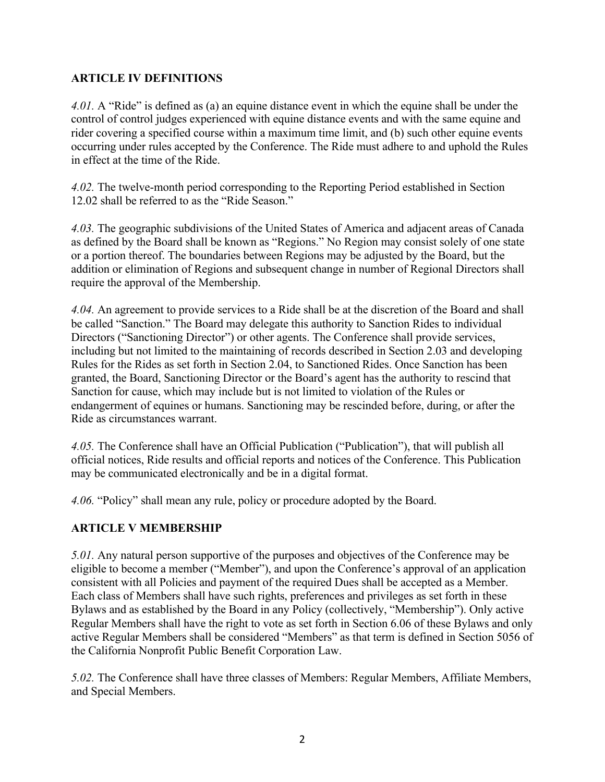### **ARTICLE IV DEFINITIONS**

*4.01.* A "Ride" is defined as (a) an equine distance event in which the equine shall be under the control of control judges experienced with equine distance events and with the same equine and rider covering a specified course within a maximum time limit, and (b) such other equine events occurring under rules accepted by the Conference. The Ride must adhere to and uphold the Rules in effect at the time of the Ride.

*4.02.* The twelve-month period corresponding to the Reporting Period established in Section 12.02 shall be referred to as the "Ride Season."

*4.03.* The geographic subdivisions of the United States of America and adjacent areas of Canada as defined by the Board shall be known as "Regions." No Region may consist solely of one state or a portion thereof. The boundaries between Regions may be adjusted by the Board, but the addition or elimination of Regions and subsequent change in number of Regional Directors shall require the approval of the Membership.

*4.04.* An agreement to provide services to a Ride shall be at the discretion of the Board and shall be called "Sanction." The Board may delegate this authority to Sanction Rides to individual Directors ("Sanctioning Director") or other agents. The Conference shall provide services, including but not limited to the maintaining of records described in Section 2.03 and developing Rules for the Rides as set forth in Section 2.04, to Sanctioned Rides. Once Sanction has been granted, the Board, Sanctioning Director or the Board's agent has the authority to rescind that Sanction for cause, which may include but is not limited to violation of the Rules or endangerment of equines or humans. Sanctioning may be rescinded before, during, or after the Ride as circumstances warrant.

*4.05.* The Conference shall have an Official Publication ("Publication"), that will publish all official notices, Ride results and official reports and notices of the Conference. This Publication may be communicated electronically and be in a digital format.

*4.06.* "Policy" shall mean any rule, policy or procedure adopted by the Board.

#### **ARTICLE V MEMBERSHIP**

*5.01.* Any natural person supportive of the purposes and objectives of the Conference may be eligible to become a member ("Member"), and upon the Conference's approval of an application consistent with all Policies and payment of the required Dues shall be accepted as a Member. Each class of Members shall have such rights, preferences and privileges as set forth in these Bylaws and as established by the Board in any Policy (collectively, "Membership"). Only active Regular Members shall have the right to vote as set forth in Section 6.06 of these Bylaws and only active Regular Members shall be considered "Members" as that term is defined in Section 5056 of the California Nonprofit Public Benefit Corporation Law.

*5.02.* The Conference shall have three classes of Members: Regular Members, Affiliate Members, and Special Members.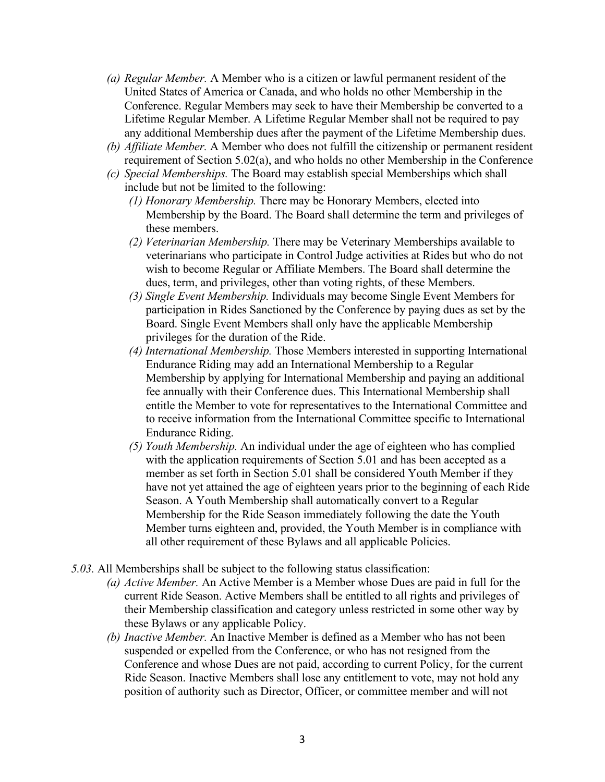- *(a) Regular Member.* A Member who is a citizen or lawful permanent resident of the United States of America or Canada, and who holds no other Membership in the Conference. Regular Members may seek to have their Membership be converted to a Lifetime Regular Member. A Lifetime Regular Member shall not be required to pay any additional Membership dues after the payment of the Lifetime Membership dues.
- *(b) Affiliate Member.* A Member who does not fulfill the citizenship or permanent resident requirement of Section 5.02(a), and who holds no other Membership in the Conference
- *(c) Special Memberships.* The Board may establish special Memberships which shall include but not be limited to the following:
	- *(1) Honorary Membership.* There may be Honorary Members, elected into Membership by the Board. The Board shall determine the term and privileges of these members.
	- *(2) Veterinarian Membership.* There may be Veterinary Memberships available to veterinarians who participate in Control Judge activities at Rides but who do not wish to become Regular or Affiliate Members. The Board shall determine the dues, term, and privileges, other than voting rights, of these Members.
	- *(3) Single Event Membership.* Individuals may become Single Event Members for participation in Rides Sanctioned by the Conference by paying dues as set by the Board. Single Event Members shall only have the applicable Membership privileges for the duration of the Ride.
	- *(4) International Membership.* Those Members interested in supporting International Endurance Riding may add an International Membership to a Regular Membership by applying for International Membership and paying an additional fee annually with their Conference dues. This International Membership shall entitle the Member to vote for representatives to the International Committee and to receive information from the International Committee specific to International Endurance Riding.
	- *(5) Youth Membership.* An individual under the age of eighteen who has complied with the application requirements of Section 5.01 and has been accepted as a member as set forth in Section 5.01 shall be considered Youth Member if they have not yet attained the age of eighteen years prior to the beginning of each Ride Season. A Youth Membership shall automatically convert to a Regular Membership for the Ride Season immediately following the date the Youth Member turns eighteen and, provided, the Youth Member is in compliance with all other requirement of these Bylaws and all applicable Policies.
- *5.03.* All Memberships shall be subject to the following status classification:
	- *(a) Active Member.* An Active Member is a Member whose Dues are paid in full for the current Ride Season. Active Members shall be entitled to all rights and privileges of their Membership classification and category unless restricted in some other way by these Bylaws or any applicable Policy.
	- *(b) Inactive Member.* An Inactive Member is defined as a Member who has not been suspended or expelled from the Conference, or who has not resigned from the Conference and whose Dues are not paid, according to current Policy, for the current Ride Season. Inactive Members shall lose any entitlement to vote, may not hold any position of authority such as Director, Officer, or committee member and will not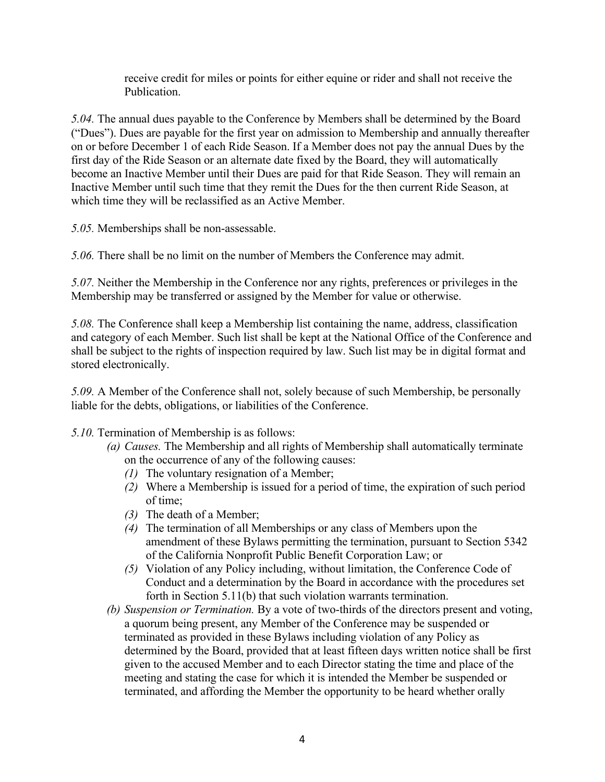receive credit for miles or points for either equine or rider and shall not receive the Publication.

*5.04.* The annual dues payable to the Conference by Members shall be determined by the Board ("Dues"). Dues are payable for the first year on admission to Membership and annually thereafter on or before December 1 of each Ride Season. If a Member does not pay the annual Dues by the first day of the Ride Season or an alternate date fixed by the Board, they will automatically become an Inactive Member until their Dues are paid for that Ride Season. They will remain an Inactive Member until such time that they remit the Dues for the then current Ride Season, at which time they will be reclassified as an Active Member.

*5.05.* Memberships shall be non-assessable.

*5.06.* There shall be no limit on the number of Members the Conference may admit.

*5.07.* Neither the Membership in the Conference nor any rights, preferences or privileges in the Membership may be transferred or assigned by the Member for value or otherwise.

*5.08.* The Conference shall keep a Membership list containing the name, address, classification and category of each Member. Such list shall be kept at the National Office of the Conference and shall be subject to the rights of inspection required by law. Such list may be in digital format and stored electronically.

*5.09.* A Member of the Conference shall not, solely because of such Membership, be personally liable for the debts, obligations, or liabilities of the Conference.

*5.10.* Termination of Membership is as follows:

- *(a) Causes.* The Membership and all rights of Membership shall automatically terminate on the occurrence of any of the following causes:
	- *(1)* The voluntary resignation of a Member;
	- *(2)* Where a Membership is issued for a period of time, the expiration of such period of time;
	- *(3)* The death of a Member;
	- *(4)* The termination of all Memberships or any class of Members upon the amendment of these Bylaws permitting the termination, pursuant to Section 5342 of the California Nonprofit Public Benefit Corporation Law; or
	- *(5)* Violation of any Policy including, without limitation, the Conference Code of Conduct and a determination by the Board in accordance with the procedures set forth in Section 5.11(b) that such violation warrants termination.
- *(b) Suspension or Termination.* By a vote of two-thirds of the directors present and voting, a quorum being present, any Member of the Conference may be suspended or terminated as provided in these Bylaws including violation of any Policy as determined by the Board, provided that at least fifteen days written notice shall be first given to the accused Member and to each Director stating the time and place of the meeting and stating the case for which it is intended the Member be suspended or terminated, and affording the Member the opportunity to be heard whether orally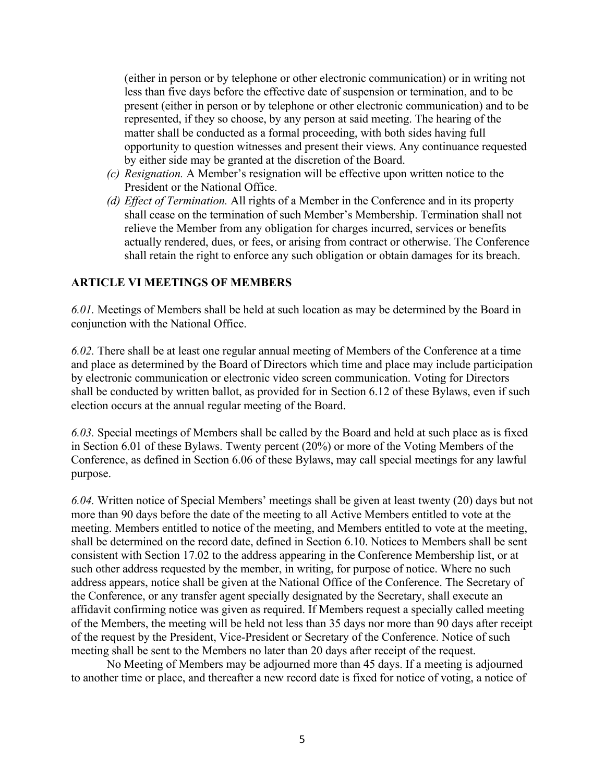(either in person or by telephone or other electronic communication) or in writing not less than five days before the effective date of suspension or termination, and to be present (either in person or by telephone or other electronic communication) and to be represented, if they so choose, by any person at said meeting. The hearing of the matter shall be conducted as a formal proceeding, with both sides having full opportunity to question witnesses and present their views. Any continuance requested by either side may be granted at the discretion of the Board.

- *(c) Resignation.* A Member's resignation will be effective upon written notice to the President or the National Office.
- *(d) Effect of Termination.* All rights of a Member in the Conference and in its property shall cease on the termination of such Member's Membership. Termination shall not relieve the Member from any obligation for charges incurred, services or benefits actually rendered, dues, or fees, or arising from contract or otherwise. The Conference shall retain the right to enforce any such obligation or obtain damages for its breach.

#### **ARTICLE VI MEETINGS OF MEMBERS**

*6.01.* Meetings of Members shall be held at such location as may be determined by the Board in conjunction with the National Office.

*6.02.* There shall be at least one regular annual meeting of Members of the Conference at a time and place as determined by the Board of Directors which time and place may include participation by electronic communication or electronic video screen communication. Voting for Directors shall be conducted by written ballot, as provided for in Section 6.12 of these Bylaws, even if such election occurs at the annual regular meeting of the Board.

*6.03.* Special meetings of Members shall be called by the Board and held at such place as is fixed in Section 6.01 of these Bylaws. Twenty percent (20%) or more of the Voting Members of the Conference, as defined in Section 6.06 of these Bylaws, may call special meetings for any lawful purpose.

*6.04.* Written notice of Special Members' meetings shall be given at least twenty (20) days but not more than 90 days before the date of the meeting to all Active Members entitled to vote at the meeting. Members entitled to notice of the meeting, and Members entitled to vote at the meeting, shall be determined on the record date, defined in Section 6.10. Notices to Members shall be sent consistent with Section 17.02 to the address appearing in the Conference Membership list, or at such other address requested by the member, in writing, for purpose of notice. Where no such address appears, notice shall be given at the National Office of the Conference. The Secretary of the Conference, or any transfer agent specially designated by the Secretary, shall execute an affidavit confirming notice was given as required. If Members request a specially called meeting of the Members, the meeting will be held not less than 35 days nor more than 90 days after receipt of the request by the President, Vice-President or Secretary of the Conference. Notice of such meeting shall be sent to the Members no later than 20 days after receipt of the request.

No Meeting of Members may be adjourned more than 45 days. If a meeting is adjourned to another time or place, and thereafter a new record date is fixed for notice of voting, a notice of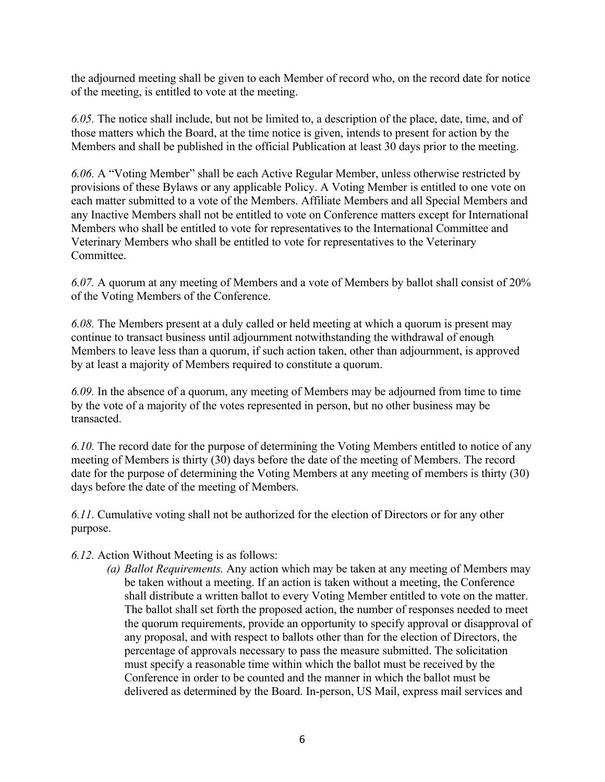the adjourned meeting shall be given to each Member of record who, on the record date for notice of the meeting, is entitled to vote at the meeting.

*6.05.* The notice shall include, but not be limited to, a description of the place, date, time, and of those matters which the Board, at the time notice is given, intends to present for action by the Members and shall be published in the official Publication at least 30 days prior to the meeting.

*6.06.* A "Voting Member" shall be each Active Regular Member, unless otherwise restricted by provisions of these Bylaws or any applicable Policy. A Voting Member is entitled to one vote on each matter submitted to a vote of the Members. Affiliate Members and all Special Members and any Inactive Members shall not be entitled to vote on Conference matters except for International Members who shall be entitled to vote for representatives to the International Committee and Veterinary Members who shall be entitled to vote for representatives to the Veterinary Committee.

*6.07.* A quorum at any meeting of Members and a vote of Members by ballot shall consist of 20% of the Voting Members of the Conference.

*6.08.* The Members present at a duly called or held meeting at which a quorum is present may continue to transact business until adjournment notwithstanding the withdrawal of enough Members to leave less than a quorum, if such action taken, other than adjournment, is approved by at least a majority of Members required to constitute a quorum.

*6.09.* In the absence of a quorum, any meeting of Members may be adjourned from time to time by the vote of a majority of the votes represented in person, but no other business may be transacted.

*6.10.* The record date for the purpose of determining the Voting Members entitled to notice of any meeting of Members is thirty (30) days before the date of the meeting of Members. The record date for the purpose of determining the Voting Members at any meeting of members is thirty (30) days before the date of the meeting of Members.

*6.11.* Cumulative voting shall not be authorized for the election of Directors or for any other purpose.

#### *6.12.* Action Without Meeting is as follows:

*(a) Ballot Requirements.* Any action which may be taken at any meeting of Members may be taken without a meeting. If an action is taken without a meeting, the Conference shall distribute a written ballot to every Voting Member entitled to vote on the matter. The ballot shall set forth the proposed action, the number of responses needed to meet the quorum requirements, provide an opportunity to specify approval or disapproval of any proposal, and with respect to ballots other than for the election of Directors, the percentage of approvals necessary to pass the measure submitted. The solicitation must specify a reasonable time within which the ballot must be received by the Conference in order to be counted and the manner in which the ballot must be delivered as determined by the Board. In-person, US Mail, express mail services and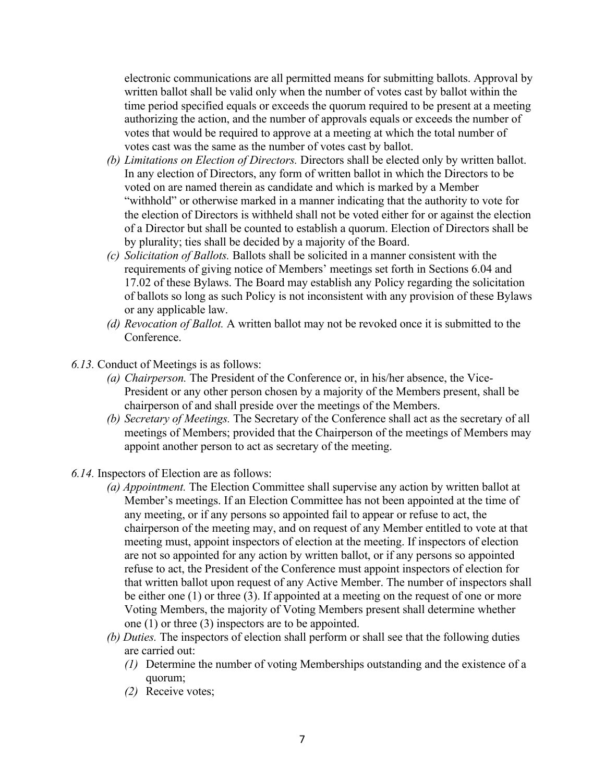electronic communications are all permitted means for submitting ballots. Approval by written ballot shall be valid only when the number of votes cast by ballot within the time period specified equals or exceeds the quorum required to be present at a meeting authorizing the action, and the number of approvals equals or exceeds the number of votes that would be required to approve at a meeting at which the total number of votes cast was the same as the number of votes cast by ballot.

- *(b) Limitations on Election of Directors.* Directors shall be elected only by written ballot. In any election of Directors, any form of written ballot in which the Directors to be voted on are named therein as candidate and which is marked by a Member "withhold" or otherwise marked in a manner indicating that the authority to vote for the election of Directors is withheld shall not be voted either for or against the election of a Director but shall be counted to establish a quorum. Election of Directors shall be by plurality; ties shall be decided by a majority of the Board.
- *(c) Solicitation of Ballots.* Ballots shall be solicited in a manner consistent with the requirements of giving notice of Members' meetings set forth in Sections 6.04 and 17.02 of these Bylaws. The Board may establish any Policy regarding the solicitation of ballots so long as such Policy is not inconsistent with any provision of these Bylaws or any applicable law.
- *(d) Revocation of Ballot.* A written ballot may not be revoked once it is submitted to the Conference.
- *6.13.* Conduct of Meetings is as follows:
	- *(a) Chairperson.* The President of the Conference or, in his/her absence, the Vice-President or any other person chosen by a majority of the Members present, shall be chairperson of and shall preside over the meetings of the Members.
	- *(b) Secretary of Meetings.* The Secretary of the Conference shall act as the secretary of all meetings of Members; provided that the Chairperson of the meetings of Members may appoint another person to act as secretary of the meeting.
- *6.14.* Inspectors of Election are as follows:
	- *(a) Appointment.* The Election Committee shall supervise any action by written ballot at Member's meetings. If an Election Committee has not been appointed at the time of any meeting, or if any persons so appointed fail to appear or refuse to act, the chairperson of the meeting may, and on request of any Member entitled to vote at that meeting must, appoint inspectors of election at the meeting. If inspectors of election are not so appointed for any action by written ballot, or if any persons so appointed refuse to act, the President of the Conference must appoint inspectors of election for that written ballot upon request of any Active Member. The number of inspectors shall be either one (1) or three (3). If appointed at a meeting on the request of one or more Voting Members, the majority of Voting Members present shall determine whether one (1) or three (3) inspectors are to be appointed.
	- *(b) Duties.* The inspectors of election shall perform or shall see that the following duties are carried out:
		- *(1)* Determine the number of voting Memberships outstanding and the existence of a quorum;
		- *(2)* Receive votes;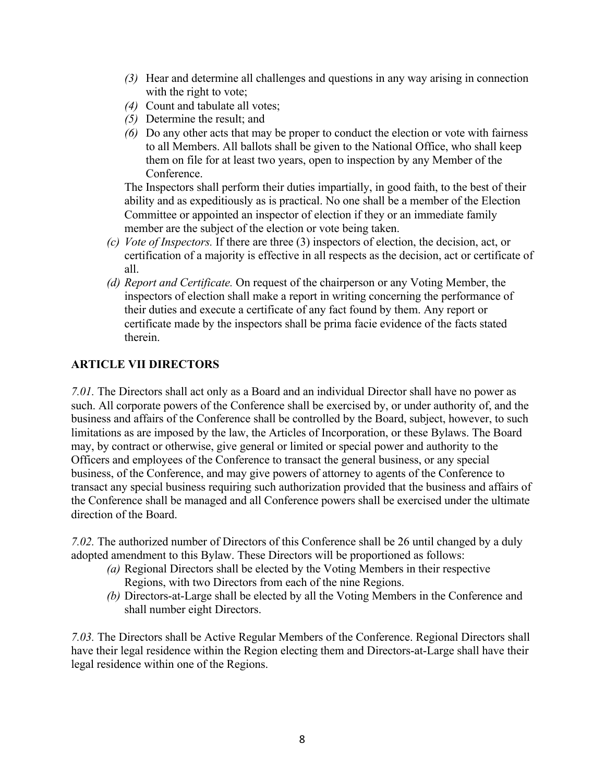- *(3)* Hear and determine all challenges and questions in any way arising in connection with the right to vote;
- *(4)* Count and tabulate all votes;
- *(5)* Determine the result; and
- *(6)* Do any other acts that may be proper to conduct the election or vote with fairness to all Members. All ballots shall be given to the National Office, who shall keep them on file for at least two years, open to inspection by any Member of the Conference.

The Inspectors shall perform their duties impartially, in good faith, to the best of their ability and as expeditiously as is practical. No one shall be a member of the Election Committee or appointed an inspector of election if they or an immediate family member are the subject of the election or vote being taken.

- *(c) Vote of Inspectors.* If there are three (3) inspectors of election, the decision, act, or certification of a majority is effective in all respects as the decision, act or certificate of all.
- *(d) Report and Certificate.* On request of the chairperson or any Voting Member, the inspectors of election shall make a report in writing concerning the performance of their duties and execute a certificate of any fact found by them. Any report or certificate made by the inspectors shall be prima facie evidence of the facts stated therein.

### **ARTICLE VII DIRECTORS**

*7.01.* The Directors shall act only as a Board and an individual Director shall have no power as such. All corporate powers of the Conference shall be exercised by, or under authority of, and the business and affairs of the Conference shall be controlled by the Board, subject, however, to such limitations as are imposed by the law, the Articles of Incorporation, or these Bylaws. The Board may, by contract or otherwise, give general or limited or special power and authority to the Officers and employees of the Conference to transact the general business, or any special business, of the Conference, and may give powers of attorney to agents of the Conference to transact any special business requiring such authorization provided that the business and affairs of the Conference shall be managed and all Conference powers shall be exercised under the ultimate direction of the Board.

*7.02.* The authorized number of Directors of this Conference shall be 26 until changed by a duly adopted amendment to this Bylaw. These Directors will be proportioned as follows:

- *(a)* Regional Directors shall be elected by the Voting Members in their respective Regions, with two Directors from each of the nine Regions.
- *(b)* Directors-at-Large shall be elected by all the Voting Members in the Conference and shall number eight Directors.

*7.03.* The Directors shall be Active Regular Members of the Conference. Regional Directors shall have their legal residence within the Region electing them and Directors-at-Large shall have their legal residence within one of the Regions.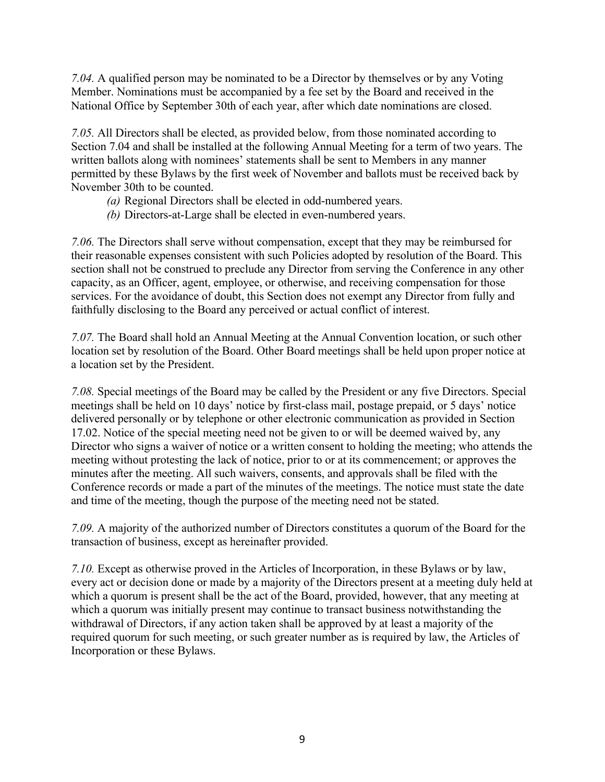*7.04.* A qualified person may be nominated to be a Director by themselves or by any Voting Member. Nominations must be accompanied by a fee set by the Board and received in the National Office by September 30th of each year, after which date nominations are closed.

*7.05.* All Directors shall be elected, as provided below, from those nominated according to Section 7.04 and shall be installed at the following Annual Meeting for a term of two years. The written ballots along with nominees' statements shall be sent to Members in any manner permitted by these Bylaws by the first week of November and ballots must be received back by November 30th to be counted.

- *(a)* Regional Directors shall be elected in odd-numbered years.
- *(b)* Directors-at-Large shall be elected in even-numbered years.

*7.06.* The Directors shall serve without compensation, except that they may be reimbursed for their reasonable expenses consistent with such Policies adopted by resolution of the Board. This section shall not be construed to preclude any Director from serving the Conference in any other capacity, as an Officer, agent, employee, or otherwise, and receiving compensation for those services. For the avoidance of doubt, this Section does not exempt any Director from fully and faithfully disclosing to the Board any perceived or actual conflict of interest.

*7.07.* The Board shall hold an Annual Meeting at the Annual Convention location, or such other location set by resolution of the Board. Other Board meetings shall be held upon proper notice at a location set by the President.

*7.08.* Special meetings of the Board may be called by the President or any five Directors. Special meetings shall be held on 10 days' notice by first-class mail, postage prepaid, or 5 days' notice delivered personally or by telephone or other electronic communication as provided in Section 17.02. Notice of the special meeting need not be given to or will be deemed waived by, any Director who signs a waiver of notice or a written consent to holding the meeting; who attends the meeting without protesting the lack of notice, prior to or at its commencement; or approves the minutes after the meeting. All such waivers, consents, and approvals shall be filed with the Conference records or made a part of the minutes of the meetings. The notice must state the date and time of the meeting, though the purpose of the meeting need not be stated.

*7.09.* A majority of the authorized number of Directors constitutes a quorum of the Board for the transaction of business, except as hereinafter provided.

*7.10.* Except as otherwise proved in the Articles of Incorporation, in these Bylaws or by law, every act or decision done or made by a majority of the Directors present at a meeting duly held at which a quorum is present shall be the act of the Board, provided, however, that any meeting at which a quorum was initially present may continue to transact business notwithstanding the withdrawal of Directors, if any action taken shall be approved by at least a majority of the required quorum for such meeting, or such greater number as is required by law, the Articles of Incorporation or these Bylaws.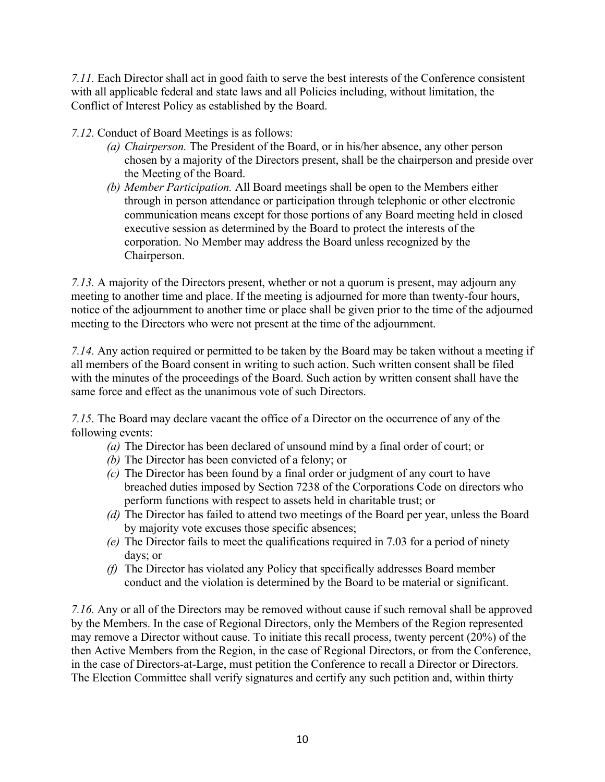*7.11.* Each Director shall act in good faith to serve the best interests of the Conference consistent with all applicable federal and state laws and all Policies including, without limitation, the Conflict of Interest Policy as established by the Board.

*7.12.* Conduct of Board Meetings is as follows:

- *(a) Chairperson.* The President of the Board, or in his/her absence, any other person chosen by a majority of the Directors present, shall be the chairperson and preside over the Meeting of the Board.
- *(b) Member Participation.* All Board meetings shall be open to the Members either through in person attendance or participation through telephonic or other electronic communication means except for those portions of any Board meeting held in closed executive session as determined by the Board to protect the interests of the corporation. No Member may address the Board unless recognized by the Chairperson.

*7.13.* A majority of the Directors present, whether or not a quorum is present, may adjourn any meeting to another time and place. If the meeting is adjourned for more than twenty-four hours, notice of the adjournment to another time or place shall be given prior to the time of the adjourned meeting to the Directors who were not present at the time of the adjournment.

*7.14.* Any action required or permitted to be taken by the Board may be taken without a meeting if all members of the Board consent in writing to such action. Such written consent shall be filed with the minutes of the proceedings of the Board. Such action by written consent shall have the same force and effect as the unanimous vote of such Directors.

*7.15.* The Board may declare vacant the office of a Director on the occurrence of any of the following events:

- *(a)* The Director has been declared of unsound mind by a final order of court; or
- *(b)* The Director has been convicted of a felony; or
- *(c)* The Director has been found by a final order or judgment of any court to have breached duties imposed by Section 7238 of the Corporations Code on directors who perform functions with respect to assets held in charitable trust; or
- *(d)* The Director has failed to attend two meetings of the Board per year, unless the Board by majority vote excuses those specific absences;
- *(e)* The Director fails to meet the qualifications required in 7.03 for a period of ninety days; or
- *(f)* The Director has violated any Policy that specifically addresses Board member conduct and the violation is determined by the Board to be material or significant.

*7.16.* Any or all of the Directors may be removed without cause if such removal shall be approved by the Members. In the case of Regional Directors, only the Members of the Region represented may remove a Director without cause. To initiate this recall process, twenty percent (20%) of the then Active Members from the Region, in the case of Regional Directors, or from the Conference, in the case of Directors-at-Large, must petition the Conference to recall a Director or Directors. The Election Committee shall verify signatures and certify any such petition and, within thirty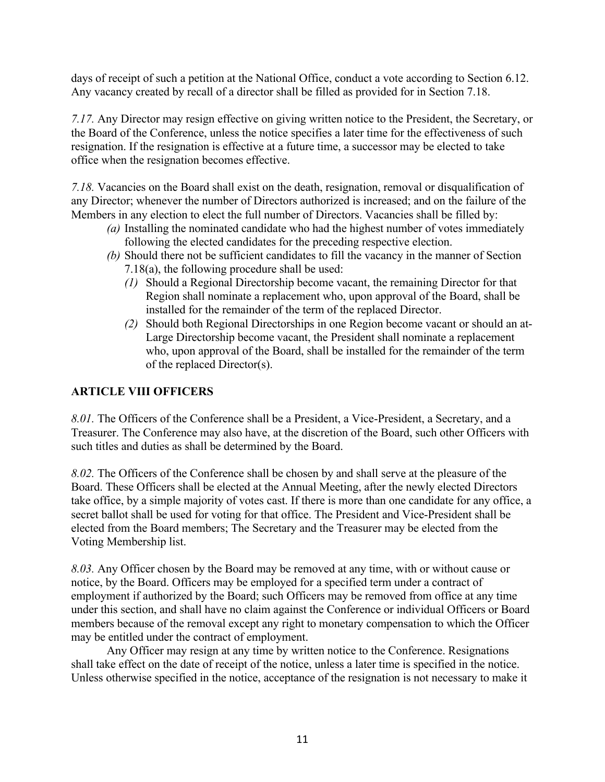days of receipt of such a petition at the National Office, conduct a vote according to Section 6.12. Any vacancy created by recall of a director shall be filled as provided for in Section 7.18.

*7.17.* Any Director may resign effective on giving written notice to the President, the Secretary, or the Board of the Conference, unless the notice specifies a later time for the effectiveness of such resignation. If the resignation is effective at a future time, a successor may be elected to take office when the resignation becomes effective.

*7.18.* Vacancies on the Board shall exist on the death, resignation, removal or disqualification of any Director; whenever the number of Directors authorized is increased; and on the failure of the Members in any election to elect the full number of Directors. Vacancies shall be filled by:

- *(a)* Installing the nominated candidate who had the highest number of votes immediately following the elected candidates for the preceding respective election.
- *(b)* Should there not be sufficient candidates to fill the vacancy in the manner of Section 7.18(a), the following procedure shall be used:
	- *(1)* Should a Regional Directorship become vacant, the remaining Director for that Region shall nominate a replacement who, upon approval of the Board, shall be installed for the remainder of the term of the replaced Director.
	- *(2)* Should both Regional Directorships in one Region become vacant or should an at-Large Directorship become vacant, the President shall nominate a replacement who, upon approval of the Board, shall be installed for the remainder of the term of the replaced Director(s).

### **ARTICLE VIII OFFICERS**

*8.01.* The Officers of the Conference shall be a President, a Vice-President, a Secretary, and a Treasurer. The Conference may also have, at the discretion of the Board, such other Officers with such titles and duties as shall be determined by the Board.

*8.02.* The Officers of the Conference shall be chosen by and shall serve at the pleasure of the Board. These Officers shall be elected at the Annual Meeting, after the newly elected Directors take office, by a simple majority of votes cast. If there is more than one candidate for any office, a secret ballot shall be used for voting for that office. The President and Vice-President shall be elected from the Board members; The Secretary and the Treasurer may be elected from the Voting Membership list.

*8.03.* Any Officer chosen by the Board may be removed at any time, with or without cause or notice, by the Board. Officers may be employed for a specified term under a contract of employment if authorized by the Board; such Officers may be removed from office at any time under this section, and shall have no claim against the Conference or individual Officers or Board members because of the removal except any right to monetary compensation to which the Officer may be entitled under the contract of employment.

Any Officer may resign at any time by written notice to the Conference. Resignations shall take effect on the date of receipt of the notice, unless a later time is specified in the notice. Unless otherwise specified in the notice, acceptance of the resignation is not necessary to make it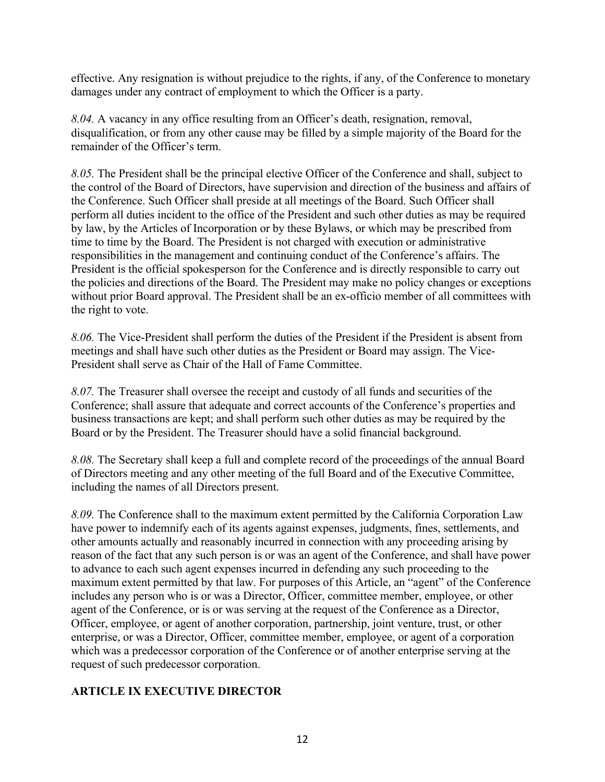effective. Any resignation is without prejudice to the rights, if any, of the Conference to monetary damages under any contract of employment to which the Officer is a party.

*8.04.* A vacancy in any office resulting from an Officer's death, resignation, removal, disqualification, or from any other cause may be filled by a simple majority of the Board for the remainder of the Officer's term.

*8.05.* The President shall be the principal elective Officer of the Conference and shall, subject to the control of the Board of Directors, have supervision and direction of the business and affairs of the Conference. Such Officer shall preside at all meetings of the Board. Such Officer shall perform all duties incident to the office of the President and such other duties as may be required by law, by the Articles of Incorporation or by these Bylaws, or which may be prescribed from time to time by the Board. The President is not charged with execution or administrative responsibilities in the management and continuing conduct of the Conference's affairs. The President is the official spokesperson for the Conference and is directly responsible to carry out the policies and directions of the Board. The President may make no policy changes or exceptions without prior Board approval. The President shall be an ex-officio member of all committees with the right to vote.

*8.06.* The Vice-President shall perform the duties of the President if the President is absent from meetings and shall have such other duties as the President or Board may assign. The Vice-President shall serve as Chair of the Hall of Fame Committee.

*8.07.* The Treasurer shall oversee the receipt and custody of all funds and securities of the Conference; shall assure that adequate and correct accounts of the Conference's properties and business transactions are kept; and shall perform such other duties as may be required by the Board or by the President. The Treasurer should have a solid financial background.

*8.08.* The Secretary shall keep a full and complete record of the proceedings of the annual Board of Directors meeting and any other meeting of the full Board and of the Executive Committee, including the names of all Directors present.

*8.09.* The Conference shall to the maximum extent permitted by the California Corporation Law have power to indemnify each of its agents against expenses, judgments, fines, settlements, and other amounts actually and reasonably incurred in connection with any proceeding arising by reason of the fact that any such person is or was an agent of the Conference, and shall have power to advance to each such agent expenses incurred in defending any such proceeding to the maximum extent permitted by that law. For purposes of this Article, an "agent" of the Conference includes any person who is or was a Director, Officer, committee member, employee, or other agent of the Conference, or is or was serving at the request of the Conference as a Director, Officer, employee, or agent of another corporation, partnership, joint venture, trust, or other enterprise, or was a Director, Officer, committee member, employee, or agent of a corporation which was a predecessor corporation of the Conference or of another enterprise serving at the request of such predecessor corporation.

### **ARTICLE IX EXECUTIVE DIRECTOR**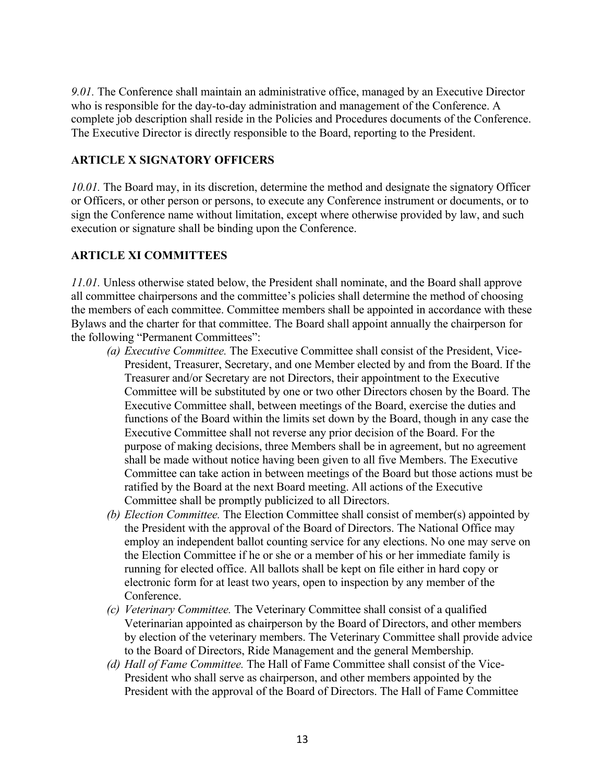*9.01.* The Conference shall maintain an administrative office, managed by an Executive Director who is responsible for the day-to-day administration and management of the Conference. A complete job description shall reside in the Policies and Procedures documents of the Conference. The Executive Director is directly responsible to the Board, reporting to the President.

#### **ARTICLE X SIGNATORY OFFICERS**

*10.01.* The Board may, in its discretion, determine the method and designate the signatory Officer or Officers, or other person or persons, to execute any Conference instrument or documents, or to sign the Conference name without limitation, except where otherwise provided by law, and such execution or signature shall be binding upon the Conference.

### **ARTICLE XI COMMITTEES**

*11.01.* Unless otherwise stated below, the President shall nominate, and the Board shall approve all committee chairpersons and the committee's policies shall determine the method of choosing the members of each committee. Committee members shall be appointed in accordance with these Bylaws and the charter for that committee. The Board shall appoint annually the chairperson for the following "Permanent Committees":

- *(a) Executive Committee.* The Executive Committee shall consist of the President, Vice-President, Treasurer, Secretary, and one Member elected by and from the Board. If the Treasurer and/or Secretary are not Directors, their appointment to the Executive Committee will be substituted by one or two other Directors chosen by the Board. The Executive Committee shall, between meetings of the Board, exercise the duties and functions of the Board within the limits set down by the Board, though in any case the Executive Committee shall not reverse any prior decision of the Board. For the purpose of making decisions, three Members shall be in agreement, but no agreement shall be made without notice having been given to all five Members. The Executive Committee can take action in between meetings of the Board but those actions must be ratified by the Board at the next Board meeting. All actions of the Executive Committee shall be promptly publicized to all Directors.
- *(b) Election Committee.* The Election Committee shall consist of member(s) appointed by the President with the approval of the Board of Directors. The National Office may employ an independent ballot counting service for any elections. No one may serve on the Election Committee if he or she or a member of his or her immediate family is running for elected office. All ballots shall be kept on file either in hard copy or electronic form for at least two years, open to inspection by any member of the Conference.
- *(c) Veterinary Committee.* The Veterinary Committee shall consist of a qualified Veterinarian appointed as chairperson by the Board of Directors, and other members by election of the veterinary members. The Veterinary Committee shall provide advice to the Board of Directors, Ride Management and the general Membership.
- *(d) Hall of Fame Committee.* The Hall of Fame Committee shall consist of the Vice-President who shall serve as chairperson, and other members appointed by the President with the approval of the Board of Directors. The Hall of Fame Committee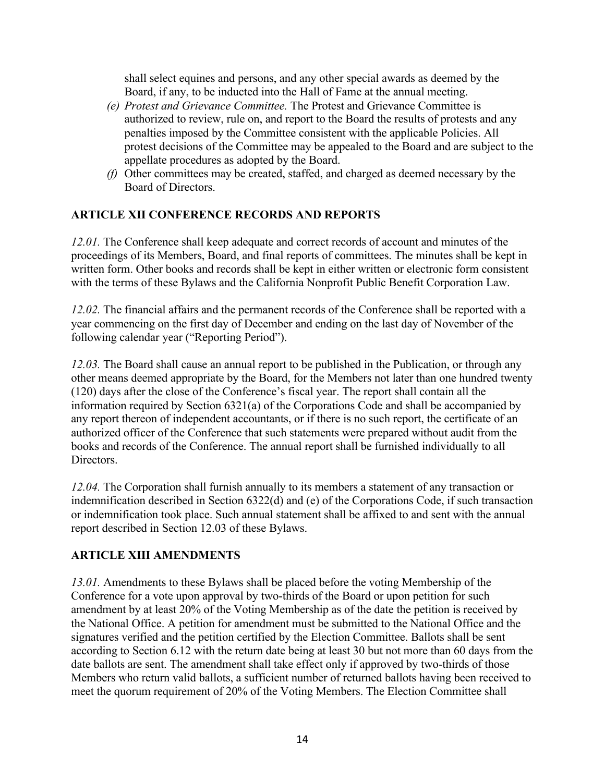shall select equines and persons, and any other special awards as deemed by the Board, if any, to be inducted into the Hall of Fame at the annual meeting.

- *(e) Protest and Grievance Committee.* The Protest and Grievance Committee is authorized to review, rule on, and report to the Board the results of protests and any penalties imposed by the Committee consistent with the applicable Policies. All protest decisions of the Committee may be appealed to the Board and are subject to the appellate procedures as adopted by the Board.
- *(f)* Other committees may be created, staffed, and charged as deemed necessary by the Board of Directors.

### **ARTICLE XII CONFERENCE RECORDS AND REPORTS**

*12.01.* The Conference shall keep adequate and correct records of account and minutes of the proceedings of its Members, Board, and final reports of committees. The minutes shall be kept in written form. Other books and records shall be kept in either written or electronic form consistent with the terms of these Bylaws and the California Nonprofit Public Benefit Corporation Law.

*12.02.* The financial affairs and the permanent records of the Conference shall be reported with a year commencing on the first day of December and ending on the last day of November of the following calendar year ("Reporting Period").

*12.03.* The Board shall cause an annual report to be published in the Publication, or through any other means deemed appropriate by the Board, for the Members not later than one hundred twenty (120) days after the close of the Conference's fiscal year. The report shall contain all the information required by Section 6321(a) of the Corporations Code and shall be accompanied by any report thereon of independent accountants, or if there is no such report, the certificate of an authorized officer of the Conference that such statements were prepared without audit from the books and records of the Conference. The annual report shall be furnished individually to all Directors.

*12.04.* The Corporation shall furnish annually to its members a statement of any transaction or indemnification described in Section 6322(d) and (e) of the Corporations Code, if such transaction or indemnification took place. Such annual statement shall be affixed to and sent with the annual report described in Section 12.03 of these Bylaws.

#### **ARTICLE XIII AMENDMENTS**

*13.01.* Amendments to these Bylaws shall be placed before the voting Membership of the Conference for a vote upon approval by two-thirds of the Board or upon petition for such amendment by at least 20% of the Voting Membership as of the date the petition is received by the National Office. A petition for amendment must be submitted to the National Office and the signatures verified and the petition certified by the Election Committee. Ballots shall be sent according to Section 6.12 with the return date being at least 30 but not more than 60 days from the date ballots are sent. The amendment shall take effect only if approved by two-thirds of those Members who return valid ballots, a sufficient number of returned ballots having been received to meet the quorum requirement of 20% of the Voting Members. The Election Committee shall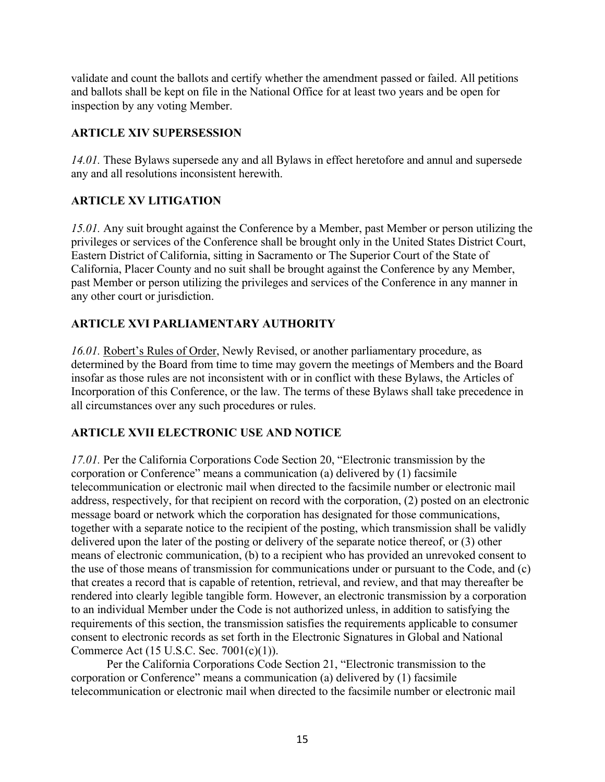validate and count the ballots and certify whether the amendment passed or failed. All petitions and ballots shall be kept on file in the National Office for at least two years and be open for inspection by any voting Member.

### **ARTICLE XIV SUPERSESSION**

*14.01.* These Bylaws supersede any and all Bylaws in effect heretofore and annul and supersede any and all resolutions inconsistent herewith.

# **ARTICLE XV LITIGATION**

*15.01.* Any suit brought against the Conference by a Member, past Member or person utilizing the privileges or services of the Conference shall be brought only in the United States District Court, Eastern District of California, sitting in Sacramento or The Superior Court of the State of California, Placer County and no suit shall be brought against the Conference by any Member, past Member or person utilizing the privileges and services of the Conference in any manner in any other court or jurisdiction.

# **ARTICLE XVI PARLIAMENTARY AUTHORITY**

*16.01.* Robert's Rules of Order, Newly Revised, or another parliamentary procedure, as determined by the Board from time to time may govern the meetings of Members and the Board insofar as those rules are not inconsistent with or in conflict with these Bylaws, the Articles of Incorporation of this Conference, or the law. The terms of these Bylaws shall take precedence in all circumstances over any such procedures or rules.

### **ARTICLE XVII ELECTRONIC USE AND NOTICE**

*17.01.* Per the California Corporations Code Section 20, "Electronic transmission by the corporation or Conference" means a communication (a) delivered by (1) facsimile telecommunication or electronic mail when directed to the facsimile number or electronic mail address, respectively, for that recipient on record with the corporation, (2) posted on an electronic message board or network which the corporation has designated for those communications, together with a separate notice to the recipient of the posting, which transmission shall be validly delivered upon the later of the posting or delivery of the separate notice thereof, or (3) other means of electronic communication, (b) to a recipient who has provided an unrevoked consent to the use of those means of transmission for communications under or pursuant to the Code, and (c) that creates a record that is capable of retention, retrieval, and review, and that may thereafter be rendered into clearly legible tangible form. However, an electronic transmission by a corporation to an individual Member under the Code is not authorized unless, in addition to satisfying the requirements of this section, the transmission satisfies the requirements applicable to consumer consent to electronic records as set forth in the Electronic Signatures in Global and National Commerce Act (15 U.S.C. Sec. 7001(c)(1)).

Per the California Corporations Code Section 21, "Electronic transmission to the corporation or Conference" means a communication (a) delivered by (1) facsimile telecommunication or electronic mail when directed to the facsimile number or electronic mail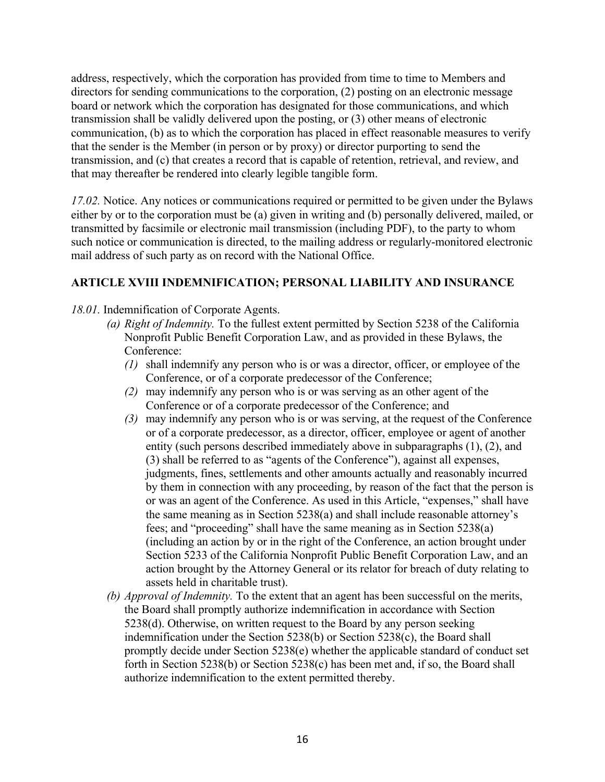address, respectively, which the corporation has provided from time to time to Members and directors for sending communications to the corporation, (2) posting on an electronic message board or network which the corporation has designated for those communications, and which transmission shall be validly delivered upon the posting, or (3) other means of electronic communication, (b) as to which the corporation has placed in effect reasonable measures to verify that the sender is the Member (in person or by proxy) or director purporting to send the transmission, and (c) that creates a record that is capable of retention, retrieval, and review, and that may thereafter be rendered into clearly legible tangible form.

*17.02.* Notice. Any notices or communications required or permitted to be given under the Bylaws either by or to the corporation must be (a) given in writing and (b) personally delivered, mailed, or transmitted by facsimile or electronic mail transmission (including PDF), to the party to whom such notice or communication is directed, to the mailing address or regularly-monitored electronic mail address of such party as on record with the National Office.

#### **ARTICLE XVIII INDEMNIFICATION; PERSONAL LIABILITY AND INSURANCE**

*18.01.* Indemnification of Corporate Agents.

- *(a) Right of Indemnity.* To the fullest extent permitted by Section 5238 of the California Nonprofit Public Benefit Corporation Law, and as provided in these Bylaws, the Conference:
	- *(1)* shall indemnify any person who is or was a director, officer, or employee of the Conference, or of a corporate predecessor of the Conference;
	- *(2)* may indemnify any person who is or was serving as an other agent of the Conference or of a corporate predecessor of the Conference; and
	- *(3)* may indemnify any person who is or was serving, at the request of the Conference or of a corporate predecessor, as a director, officer, employee or agent of another entity (such persons described immediately above in subparagraphs (1), (2), and (3) shall be referred to as "agents of the Conference"), against all expenses, judgments, fines, settlements and other amounts actually and reasonably incurred by them in connection with any proceeding, by reason of the fact that the person is or was an agent of the Conference. As used in this Article, "expenses," shall have the same meaning as in Section 5238(a) and shall include reasonable attorney's fees; and "proceeding" shall have the same meaning as in Section 5238(a) (including an action by or in the right of the Conference, an action brought under Section 5233 of the California Nonprofit Public Benefit Corporation Law, and an action brought by the Attorney General or its relator for breach of duty relating to assets held in charitable trust).
- *(b) Approval of Indemnity.* To the extent that an agent has been successful on the merits, the Board shall promptly authorize indemnification in accordance with Section 5238(d). Otherwise, on written request to the Board by any person seeking indemnification under the Section 5238(b) or Section 5238(c), the Board shall promptly decide under Section 5238(e) whether the applicable standard of conduct set forth in Section 5238(b) or Section 5238(c) has been met and, if so, the Board shall authorize indemnification to the extent permitted thereby.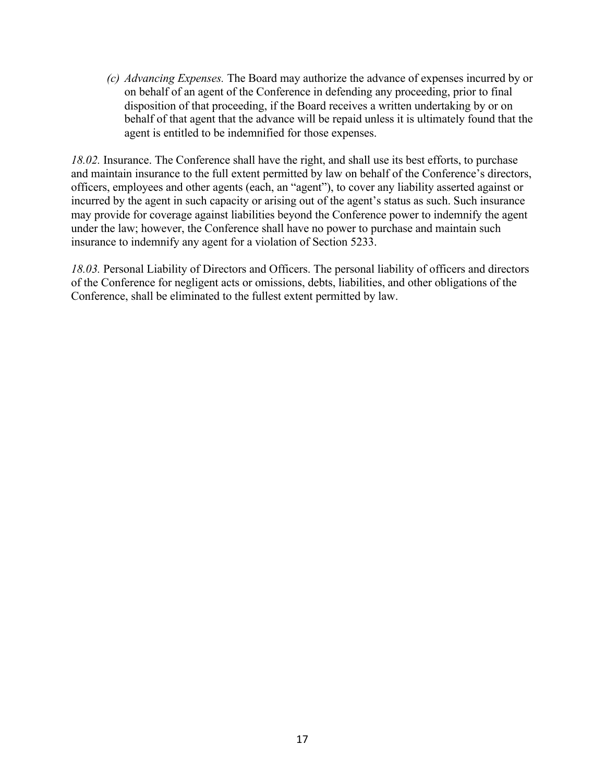*(c) Advancing Expenses.* The Board may authorize the advance of expenses incurred by or on behalf of an agent of the Conference in defending any proceeding, prior to final disposition of that proceeding, if the Board receives a written undertaking by or on behalf of that agent that the advance will be repaid unless it is ultimately found that the agent is entitled to be indemnified for those expenses.

*18.02.* Insurance. The Conference shall have the right, and shall use its best efforts, to purchase and maintain insurance to the full extent permitted by law on behalf of the Conference's directors, officers, employees and other agents (each, an "agent"), to cover any liability asserted against or incurred by the agent in such capacity or arising out of the agent's status as such. Such insurance may provide for coverage against liabilities beyond the Conference power to indemnify the agent under the law; however, the Conference shall have no power to purchase and maintain such insurance to indemnify any agent for a violation of Section 5233.

*18.03.* Personal Liability of Directors and Officers. The personal liability of officers and directors of the Conference for negligent acts or omissions, debts, liabilities, and other obligations of the Conference, shall be eliminated to the fullest extent permitted by law.